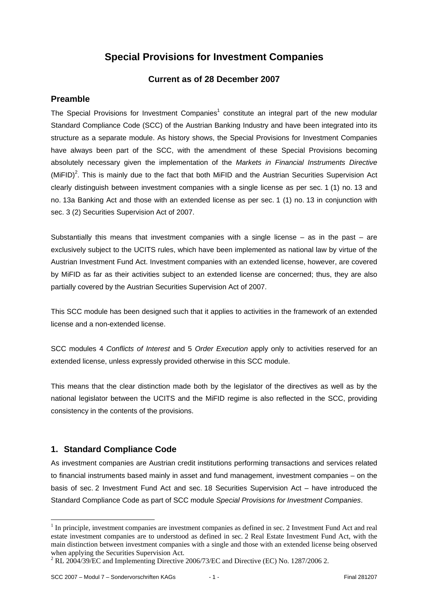# **Special Provisions for Investment Companies**

#### **Current as of 28 December 2007**

#### **Preamble**

The Special Provisions for Investment Companies<sup>1</sup> constitute an integral part of the new modular Standard Compliance Code (SCC) of the Austrian Banking Industry and have been integrated into its structure as a separate module. As history shows, the Special Provisions for Investment Companies have always been part of the SCC, with the amendment of these Special Provisions becoming absolutely necessary given the implementation of the *Markets in Financial Instruments Directive*  $(MIFID)^2$ . This is mainly due to the fact that both MiFID and the Austrian Securities Supervision Act clearly distinguish between investment companies with a single license as per sec. 1 (1) no. 13 and no. 13a Banking Act and those with an extended license as per sec. 1 (1) no. 13 in conjunction with sec. 3 (2) Securities Supervision Act of 2007.

Substantially this means that investment companies with a single license  $-$  as in the past  $-$  are exclusively subject to the UCITS rules, which have been implemented as national law by virtue of the Austrian Investment Fund Act. Investment companies with an extended license, however, are covered by MiFID as far as their activities subject to an extended license are concerned; thus, they are also partially covered by the Austrian Securities Supervision Act of 2007.

This SCC module has been designed such that it applies to activities in the framework of an extended license and a non-extended license.

SCC modules 4 *Conflicts of Interest* and 5 *Order Execution* apply only to activities reserved for an extended license, unless expressly provided otherwise in this SCC module.

This means that the clear distinction made both by the legislator of the directives as well as by the national legislator between the UCITS and the MiFID regime is also reflected in the SCC, providing consistency in the contents of the provisions.

## **1. Standard Compliance Code**

As investment companies are Austrian credit institutions performing transactions and services related to financial instruments based mainly in asset and fund management, investment companies – on the basis of sec. 2 Investment Fund Act and sec. 18 Securities Supervision Act – have introduced the Standard Compliance Code as part of SCC module *Special Provisions for Investment Companies*.

1

 $<sup>1</sup>$  In principle, investment companies are investment companies as defined in sec. 2 Investment Fund Act and real</sup> estate investment companies are to understood as defined in sec. 2 Real Estate Investment Fund Act, with the main distinction between investment companies with a single and those with an extended license being observed when applying the Securities Supervision Act.

 $^2$  RL 2004/39/EC and Implementing Directive 2006/73/EC and Directive (EC) No. 1287/2006 2.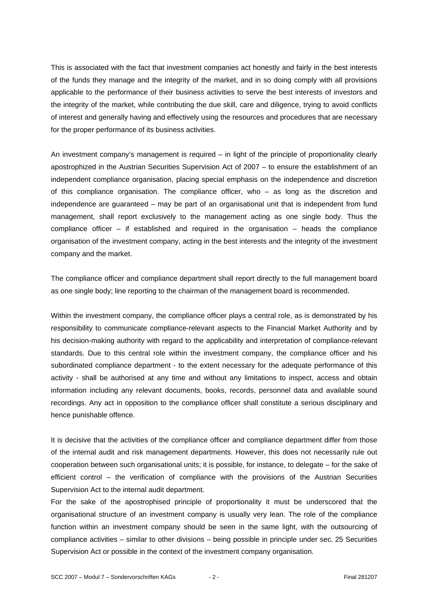This is associated with the fact that investment companies act honestly and fairly in the best interests of the funds they manage and the integrity of the market, and in so doing comply with all provisions applicable to the performance of their business activities to serve the best interests of investors and the integrity of the market, while contributing the due skill, care and diligence, trying to avoid conflicts of interest and generally having and effectively using the resources and procedures that are necessary for the proper performance of its business activities.

An investment company's management is required – in light of the principle of proportionality clearly apostrophized in the Austrian Securities Supervision Act of 2007 – to ensure the establishment of an independent compliance organisation, placing special emphasis on the independence and discretion of this compliance organisation. The compliance officer, who – as long as the discretion and independence are guaranteed – may be part of an organisational unit that is independent from fund management, shall report exclusively to the management acting as one single body. Thus the compliance officer – if established and required in the organisation – heads the compliance organisation of the investment company, acting in the best interests and the integrity of the investment company and the market.

The compliance officer and compliance department shall report directly to the full management board as one single body; line reporting to the chairman of the management board is recommended.

Within the investment company, the compliance officer plays a central role, as is demonstrated by his responsibility to communicate compliance-relevant aspects to the Financial Market Authority and by his decision-making authority with regard to the applicability and interpretation of compliance-relevant standards. Due to this central role within the investment company, the compliance officer and his subordinated compliance department - to the extent necessary for the adequate performance of this activity - shall be authorised at any time and without any limitations to inspect, access and obtain information including any relevant documents, books, records, personnel data and available sound recordings. Any act in opposition to the compliance officer shall constitute a serious disciplinary and hence punishable offence.

It is decisive that the activities of the compliance officer and compliance department differ from those of the internal audit and risk management departments. However, this does not necessarily rule out cooperation between such organisational units; it is possible, for instance, to delegate – for the sake of efficient control – the verification of compliance with the provisions of the Austrian Securities Supervision Act to the internal audit department.

For the sake of the apostrophised principle of proportionality it must be underscored that the organisational structure of an investment company is usually very lean. The role of the compliance function within an investment company should be seen in the same light, with the outsourcing of compliance activities – similar to other divisions – being possible in principle under sec. 25 Securities Supervision Act or possible in the context of the investment company organisation.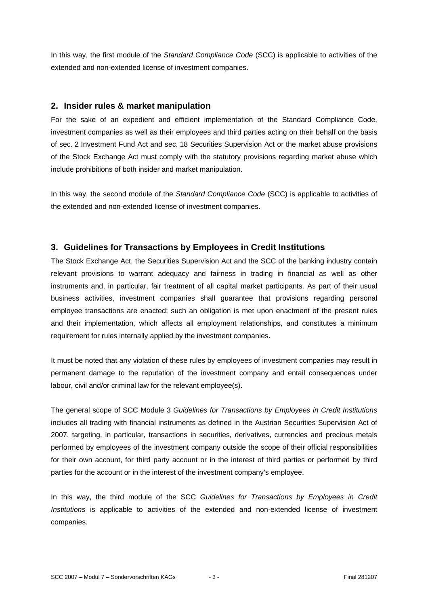In this way, the first module of the *Standard Compliance Code* (SCC) is applicable to activities of the extended and non-extended license of investment companies.

#### **2. Insider rules & market manipulation**

For the sake of an expedient and efficient implementation of the Standard Compliance Code, investment companies as well as their employees and third parties acting on their behalf on the basis of sec. 2 Investment Fund Act and sec. 18 Securities Supervision Act or the market abuse provisions of the Stock Exchange Act must comply with the statutory provisions regarding market abuse which include prohibitions of both insider and market manipulation.

In this way, the second module of the *Standard Compliance Code* (SCC) is applicable to activities of the extended and non-extended license of investment companies.

## **3. Guidelines for Transactions by Employees in Credit Institutions**

The Stock Exchange Act, the Securities Supervision Act and the SCC of the banking industry contain relevant provisions to warrant adequacy and fairness in trading in financial as well as other instruments and, in particular, fair treatment of all capital market participants. As part of their usual business activities, investment companies shall guarantee that provisions regarding personal employee transactions are enacted; such an obligation is met upon enactment of the present rules and their implementation, which affects all employment relationships, and constitutes a minimum requirement for rules internally applied by the investment companies.

It must be noted that any violation of these rules by employees of investment companies may result in permanent damage to the reputation of the investment company and entail consequences under labour, civil and/or criminal law for the relevant employee(s).

The general scope of SCC Module 3 *Guidelines for Transactions by Employees in Credit Institutions*  includes all trading with financial instruments as defined in the Austrian Securities Supervision Act of 2007, targeting, in particular, transactions in securities, derivatives, currencies and precious metals performed by employees of the investment company outside the scope of their official responsibilities for their own account, for third party account or in the interest of third parties or performed by third parties for the account or in the interest of the investment company's employee.

In this way, the third module of the SCC *Guidelines for Transactions by Employees in Credit Institutions* is applicable to activities of the extended and non-extended license of investment companies.